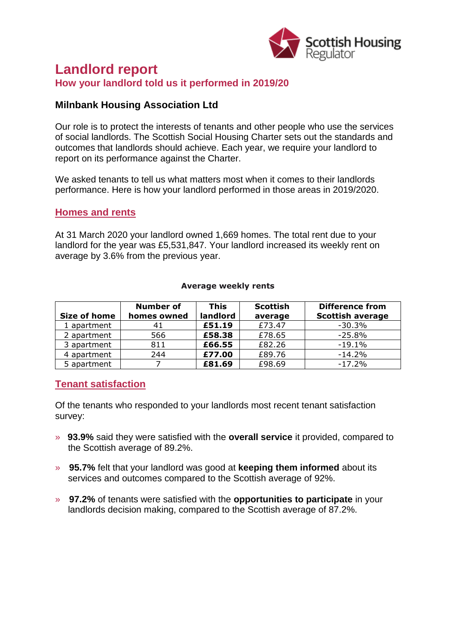

# **Landlord report How your landlord told us it performed in 2019/20**

#### **Milnbank Housing Association Ltd**

Our role is to protect the interests of tenants and other people who use the services of social landlords. The Scottish Social Housing Charter sets out the standards and outcomes that landlords should achieve. Each year, we require your landlord to report on its performance against the Charter.

We asked tenants to tell us what matters most when it comes to their landlords performance. Here is how your landlord performed in those areas in 2019/2020.

#### **Homes and rents**

At 31 March 2020 your landlord owned 1,669 homes. The total rent due to your landlord for the year was £5,531,847. Your landlord increased its weekly rent on average by 3.6% from the previous year.

#### **Average weekly rents**

| Size of home | <b>Number of</b><br>homes owned | <b>This</b><br>landlord | <b>Scottish</b><br>average | <b>Difference from</b><br><b>Scottish average</b> |
|--------------|---------------------------------|-------------------------|----------------------------|---------------------------------------------------|
| 1 apartment  | 41                              | £51.19                  | £73.47                     | $-30.3%$                                          |
| 2 apartment  | 566                             | £58.38                  | £78.65                     | $-25.8%$                                          |
| 3 apartment  | 811                             | £66.55                  | £82.26                     | $-19.1%$                                          |
| 4 apartment  | 244                             | £77.00                  | £89.76                     | $-14.2%$                                          |
| 5 apartment  |                                 | £81.69                  | £98.69                     | $-17.2%$                                          |

## **Tenant satisfaction**

Of the tenants who responded to your landlords most recent tenant satisfaction survey:

- » **93.9%** said they were satisfied with the **overall service** it provided, compared to the Scottish average of 89.2%.
- » **95.7%** felt that your landlord was good at **keeping them informed** about its services and outcomes compared to the Scottish average of 92%.
- » **97.2%** of tenants were satisfied with the **opportunities to participate** in your landlords decision making, compared to the Scottish average of 87.2%.